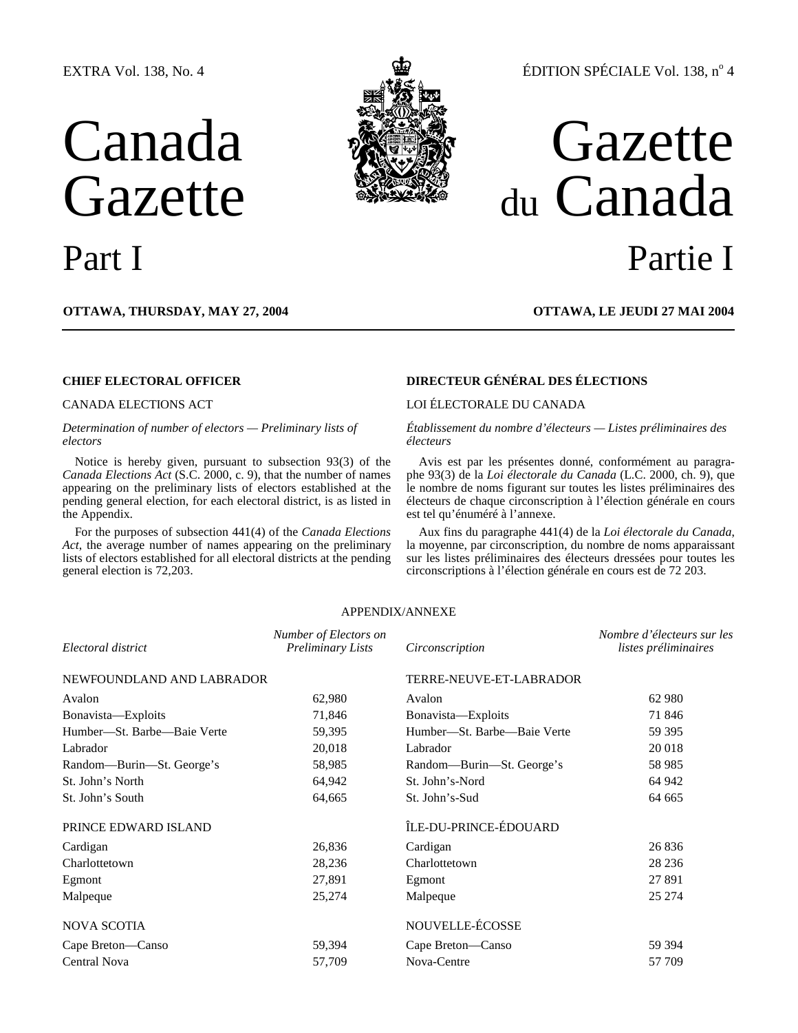### EXTRA Vol. 138, No. 4

# Canada Gazette

## ÉDITION SPÉCIALE Vol. 138, nº 4

## Gazette du Canada Part I Partie I

**OTTAWA, THURSDAY, MAY 27, 2004 OTTAWA, LE JEUDI 27 MAI 2004**

*Determination of number of electors — Preliminary lists of electors* 

Notice is hereby given, pursuant to subsection 93(3) of the *Canada Elections Act* (S.C. 2000, c. 9), that the number of names appearing on the preliminary lists of electors established at the pending general election, for each electoral district, is as listed in the Appendix.

For the purposes of subsection 441(4) of the *Canada Elections Act*, the average number of names appearing on the preliminary lists of electors established for all electoral districts at the pending general election is 72,203.

### **CHIEF ELECTORAL OFFICER DIRECTEUR GÉNÉRAL DES ÉLECTIONS**

### CANADA ELECTIONS ACT LOI ÉLECTORALE DU CANADA

*Établissement du nombre d'électeurs — Listes préliminaires des électeurs* 

Avis est par les présentes donné, conformément au paragraphe 93(3) de la *Loi électorale du Canada* (L.C. 2000, ch. 9), que le nombre de noms figurant sur toutes les listes préliminaires des électeurs de chaque circonscription à l'élection générale en cours est tel qu'énuméré à l'annexe.

Aux fins du paragraphe 441(4) de la *Loi électorale du Canada*, la moyenne, par circonscription, du nombre de noms apparaissant sur les listes préliminaires des électeurs dressées pour toutes les circonscriptions à l'élection générale en cours est de 72 203.

### APPENDIX/ANNEXE

| Electoral district          | Number of Electors on<br><b>Preliminary Lists</b> | Circonscription             | Nombre d'électeurs sur les<br>listes préliminaires |
|-----------------------------|---------------------------------------------------|-----------------------------|----------------------------------------------------|
| NEWFOUNDLAND AND LABRADOR   |                                                   | TERRE-NEUVE-ET-LABRADOR     |                                                    |
| Avalon                      | 62,980                                            | Avalon                      | 62 980                                             |
| Bonavista-Exploits          | 71,846                                            | Bonavista-Exploits          | 71 846                                             |
| Humber-St. Barbe-Baie Verte | 59,395                                            | Humber—St. Barbe—Baie Verte | 59 39 5                                            |
| Labrador                    | 20,018                                            | Labrador                    | 20 018                                             |
| Random—Burin—St. George's   | 58,985                                            | Random—Burin—St. George's   | 58 9 85                                            |
| St. John's North            | 64,942                                            | St. John's-Nord             | 64 942                                             |
| St. John's South            | 64,665                                            | St. John's-Sud              | 64 665                                             |
| PRINCE EDWARD ISLAND        |                                                   | ÎLE-DU-PRINCE-ÉDOUARD       |                                                    |
| Cardigan                    | 26,836                                            | Cardigan                    | 26 836                                             |
| Charlottetown               | 28,236                                            | Charlottetown               | 28 2 36                                            |
| Egmont                      | 27,891                                            | Egmont                      | 27 891                                             |
| Malpeque                    | 25,274                                            | Malpeque                    | 25 274                                             |
| <b>NOVA SCOTIA</b>          |                                                   | NOUVELLE-ÉCOSSE             |                                                    |
| Cape Breton—Canso           | 59,394                                            | Cape Breton—Canso           | 59 394                                             |
| <b>Central Nova</b>         | 57,709                                            | Nova-Centre                 | 57 709                                             |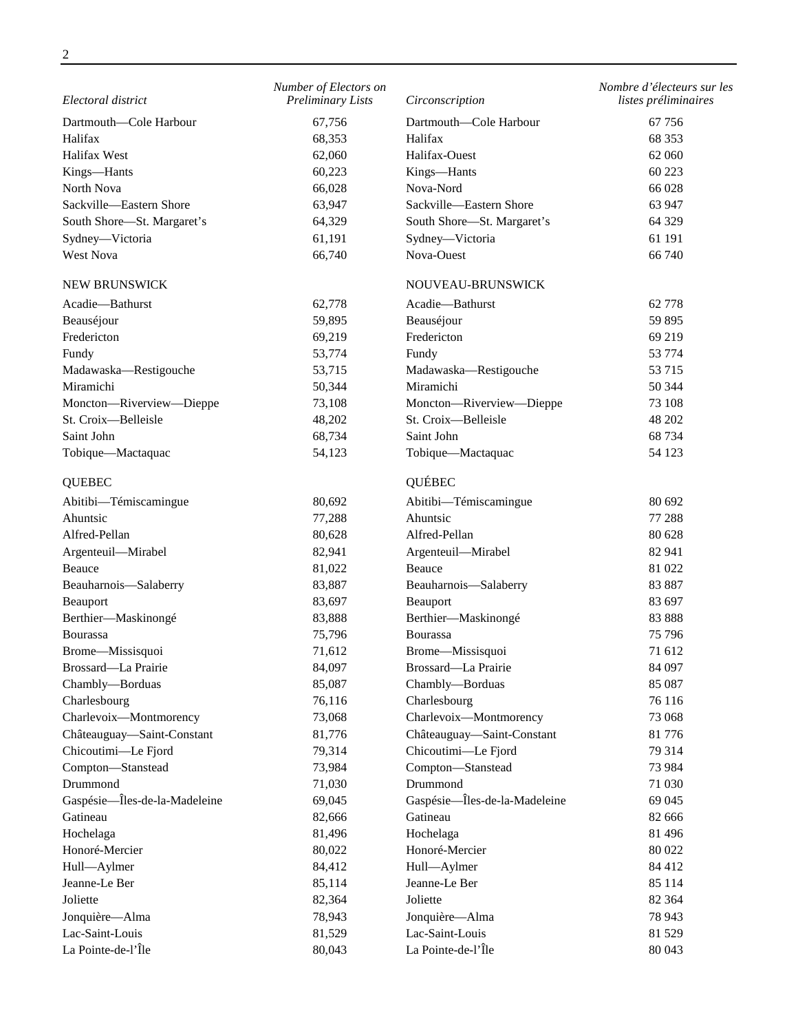| Electoral district            | Number of Electors on<br><b>Preliminary Lists</b> | Circonscription               | Nombre d'électeurs sur les<br>listes préliminaires |
|-------------------------------|---------------------------------------------------|-------------------------------|----------------------------------------------------|
| Dartmouth-Cole Harbour        | 67,756                                            | Dartmouth-Cole Harbour        | 67756                                              |
| Halifax                       | 68,353                                            | Halifax                       | 68 353                                             |
| Halifax West                  | 62,060                                            | Halifax-Ouest                 | 62 060                                             |
| Kings-Hants                   | 60,223                                            | Kings-Hants                   | 60 223                                             |
| North Nova                    | 66,028                                            | Nova-Nord                     | 66 028                                             |
| Sackville-Eastern Shore       | 63,947                                            | Sackville-Eastern Shore       | 63 947                                             |
| South Shore-St. Margaret's    | 64,329                                            | South Shore-St. Margaret's    | 64 329                                             |
| Sydney-Victoria               | 61,191                                            | Sydney-Victoria               | 61 191                                             |
| West Nova                     | 66,740                                            | Nova-Ouest                    | 66 740                                             |
| NEW BRUNSWICK                 |                                                   | NOUVEAU-BRUNSWICK             |                                                    |
| Acadie-Bathurst               | 62,778                                            | Acadie-Bathurst               | 62 778                                             |
| Beauséjour                    | 59,895                                            | Beauséjour                    | 59 895                                             |
| Fredericton                   | 69,219                                            | Fredericton                   | 69 219                                             |
| Fundy                         | 53,774                                            | Fundy                         | 53 774                                             |
| Madawaska-Restigouche         | 53,715                                            | Madawaska-Restigouche         | 53 715                                             |
| Miramichi                     | 50,344                                            | Miramichi                     | 50 344                                             |
| Moncton-Riverview-Dieppe      | 73,108                                            | Moncton-Riverview-Dieppe      | 73 108                                             |
| St. Croix-Belleisle           | 48,202                                            | St. Croix-Belleisle           | 48 202                                             |
| Saint John                    | 68,734                                            | Saint John                    | 68 734                                             |
| Tobique-Mactaquac             | 54,123                                            | Tobique-Mactaquac             | 54 123                                             |
| <b>QUEBEC</b>                 |                                                   | QUÉBEC                        |                                                    |
| Abitibi-Témiscamingue         | 80,692                                            | Abitibi-Témiscamingue         | 80 692                                             |
| Ahuntsic                      | 77,288                                            | Ahuntsic                      | 77 288                                             |
| Alfred-Pellan                 | 80,628                                            | Alfred-Pellan                 | 80 628                                             |
| Argenteuil-Mirabel            | 82,941                                            | Argenteuil-Mirabel            | 82 941                                             |
| Beauce                        | 81,022                                            | Beauce                        | 81 022                                             |
| Beauharnois-Salaberry         | 83,887                                            | Beauharnois-Salaberry         | 83 887                                             |
| Beauport                      | 83,697                                            | Beauport                      | 83 697                                             |
| Berthier-Maskinongé           | 83,888                                            | Berthier-Maskinongé           | 83 888                                             |
| Bourassa                      | 75,796                                            | Bourassa                      | 75 796                                             |
| Brome-Missisquoi              | 71,612                                            | Brome-Missisquoi              | 71 612                                             |
| Brossard-La Prairie           | 84,097                                            | Brossard-La Prairie           | 84 097                                             |
| Chambly-Borduas               | 85,087                                            | Chambly-Borduas               | 85 087                                             |
| Charlesbourg                  | 76,116                                            | Charlesbourg                  | 76 116                                             |
| Charlevoix-Montmorency        | 73,068                                            | Charlevoix-Montmorency        | 73 068                                             |
| Châteauguay-Saint-Constant    | 81,776                                            | Châteauguay-Saint-Constant    | 81 776                                             |
| Chicoutimi-Le Fjord           | 79,314                                            | Chicoutimi-Le Fjord           | 79 314                                             |
| Compton-Stanstead             | 73,984                                            | Compton-Stanstead             | 73 984                                             |
| Drummond                      | 71,030                                            | Drummond                      | 71 030                                             |
| Gaspésie-Îles-de-la-Madeleine | 69,045                                            | Gaspésie-Îles-de-la-Madeleine | 69 045                                             |
| Gatineau                      | 82,666                                            | Gatineau                      | 82 666                                             |
| Hochelaga                     | 81,496                                            | Hochelaga                     | 81 49 6                                            |
| Honoré-Mercier                | 80,022                                            | Honoré-Mercier                | 80 022                                             |
| Hull-Aylmer                   | 84,412                                            | Hull-Aylmer                   | 84 412                                             |
| Jeanne-Le Ber                 | 85,114                                            | Jeanne-Le Ber                 | 85 114                                             |
| Joliette                      | 82,364                                            | Joliette                      | 82 364                                             |
| Jonquière-Alma                | 78,943                                            | Jonquière-Alma                | 78 943                                             |
| Lac-Saint-Louis               | 81,529                                            | Lac-Saint-Louis               | 81 529                                             |
| La Pointe-de-l'Île            | 80,043                                            | La Pointe-de-l'Île            | 80 043                                             |
|                               |                                                   |                               |                                                    |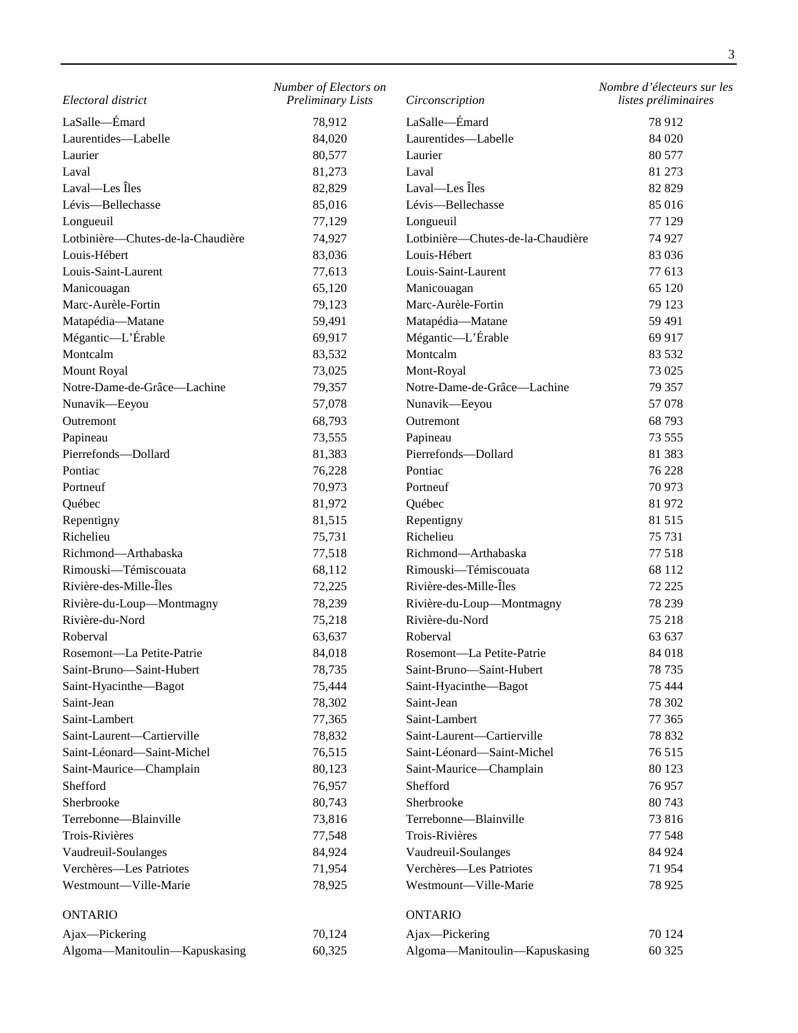| Electoral district                | Number of Electors on<br><b>Preliminary Lists</b> | Circonscription                   | Nombre d'électeurs sur les<br>listes préliminaires |
|-----------------------------------|---------------------------------------------------|-----------------------------------|----------------------------------------------------|
| LaSalle-Emard                     | 78,912                                            | LaSalle-Emard                     | 78 912                                             |
| Laurentides-Labelle               | 84,020                                            | Laurentides-Labelle               | 84 020                                             |
| Laurier                           | 80,577                                            | Laurier                           | 80 577                                             |
| Laval                             | 81,273                                            | Laval                             | 81 273                                             |
| Laval-Les Îles                    | 82,829                                            | Laval—Les Îles                    | 82 829                                             |
| Lévis-Bellechasse                 | 85,016                                            | Lévis-Bellechasse                 | 85 016                                             |
| Longueuil                         | 77,129                                            | Longueuil                         | 77 129                                             |
| Lotbinière-Chutes-de-la-Chaudière | 74,927                                            | Lotbinière-Chutes-de-la-Chaudière | 74 927                                             |
| Louis-Hébert                      | 83,036                                            | Louis-Hébert                      | 83 036                                             |
| Louis-Saint-Laurent               | 77,613                                            | Louis-Saint-Laurent               | 77 613                                             |
| Manicouagan                       | 65,120                                            | Manicouagan                       | 65 120                                             |
| Marc-Aurèle-Fortin                | 79,123                                            | Marc-Aurèle-Fortin                | 79 123                                             |
| Matapédia-Matane                  | 59,491                                            | Matapédia-Matane                  | 59 491                                             |
| Mégantic-L'Érable                 | 69,917                                            | Mégantic-L'Érable                 | 69 917                                             |
| Montcalm                          | 83,532                                            | Montcalm                          | 83 532                                             |
| Mount Royal                       | 73,025                                            | Mont-Royal                        | 73 025                                             |
| Notre-Dame-de-Grâce-Lachine       | 79,357                                            | Notre-Dame-de-Grâce-Lachine       | 79 357                                             |
| Nunavik-Eeyou                     | 57,078                                            | Nunavik-Eeyou                     | 57 078                                             |
| Outremont                         | 68,793                                            | Outremont                         | 68793                                              |
| Papineau                          | 73,555                                            | Papineau                          | 73 555                                             |
| Pierrefonds-Dollard               | 81,383                                            | Pierrefonds-Dollard               | 81 3 83                                            |
| Pontiac                           | 76,228                                            | Pontiac                           | 76 228                                             |
| Portneuf                          | 70,973                                            | Portneuf                          | 70 973                                             |
| Québec                            | 81,972                                            | Québec                            | 81 972                                             |
| Repentigny                        | 81,515                                            | Repentigny                        | 81 515                                             |
| Richelieu                         | 75,731                                            | Richelieu                         | 75 731                                             |
| Richmond-Arthabaska               | 77,518                                            | Richmond-Arthabaska               | 77 518                                             |
| Rimouski-Témiscouata              | 68,112                                            | Rimouski-Témiscouata              | 68 112                                             |
| Rivière-des-Mille-Îles            | 72,225                                            | Rivière-des-Mille-Îles            | 72 225                                             |
| Rivière-du-Loup-Montmagny         | 78,239                                            | Rivière-du-Loup-Montmagny         | 78 239                                             |
| Rivière-du-Nord                   | 75,218                                            | Rivière-du-Nord                   | 75 218                                             |
| Roberval                          | 63,637                                            | Roberval                          | 63 637                                             |
| Rosemont-La Petite-Patrie         | 84,018                                            | Rosemont—La Petite-Patrie         | 84 018                                             |
| Saint-Bruno-Saint-Hubert          | 78,735                                            | Saint-Bruno-Saint-Hubert          | 78 735                                             |
| Saint-Hyacinthe-Bagot             | 75,444                                            | Saint-Hyacinthe-Bagot             | 75 444                                             |
| Saint-Jean                        | 78,302                                            | Saint-Jean                        | 78 302                                             |
| Saint-Lambert                     | 77,365                                            | Saint-Lambert                     | 77 365                                             |
| Saint-Laurent-Cartierville        | 78,832                                            | Saint-Laurent-Cartierville        | 78 832                                             |
| Saint-Léonard-Saint-Michel        | 76,515                                            | Saint-Léonard-Saint-Michel        | 76 515                                             |
| Saint-Maurice-Champlain           | 80,123                                            | Saint-Maurice-Champlain           | 80 123                                             |
| Shefford                          | 76,957                                            | Shefford                          | 76957                                              |
| Sherbrooke                        | 80,743                                            | Sherbrooke                        | 80 743                                             |
| Terrebonne-Blainville             | 73,816                                            | Terrebonne-Blainville             | 73 816                                             |
| Trois-Rivières                    | 77,548                                            | Trois-Rivières                    | 77 548                                             |
| Vaudreuil-Soulanges               | 84,924                                            | Vaudreuil-Soulanges               | 84 9 24                                            |
| Verchères-Les Patriotes           | 71,954                                            | Verchères-Les Patriotes           | 71954                                              |
| Westmount-Ville-Marie             | 78,925                                            | Westmount-Ville-Marie             | 78 9 25                                            |
|                                   |                                                   |                                   |                                                    |
| <b>ONTARIO</b>                    |                                                   | <b>ONTARIO</b>                    |                                                    |
| Ajax-Pickering                    | 70,124                                            | Ajax-Pickering                    | 70 124                                             |
| Algoma-Manitoulin-Kapuskasing     | 60,325                                            | Algoma-Manitoulin-Kapuskasing     | 60 325                                             |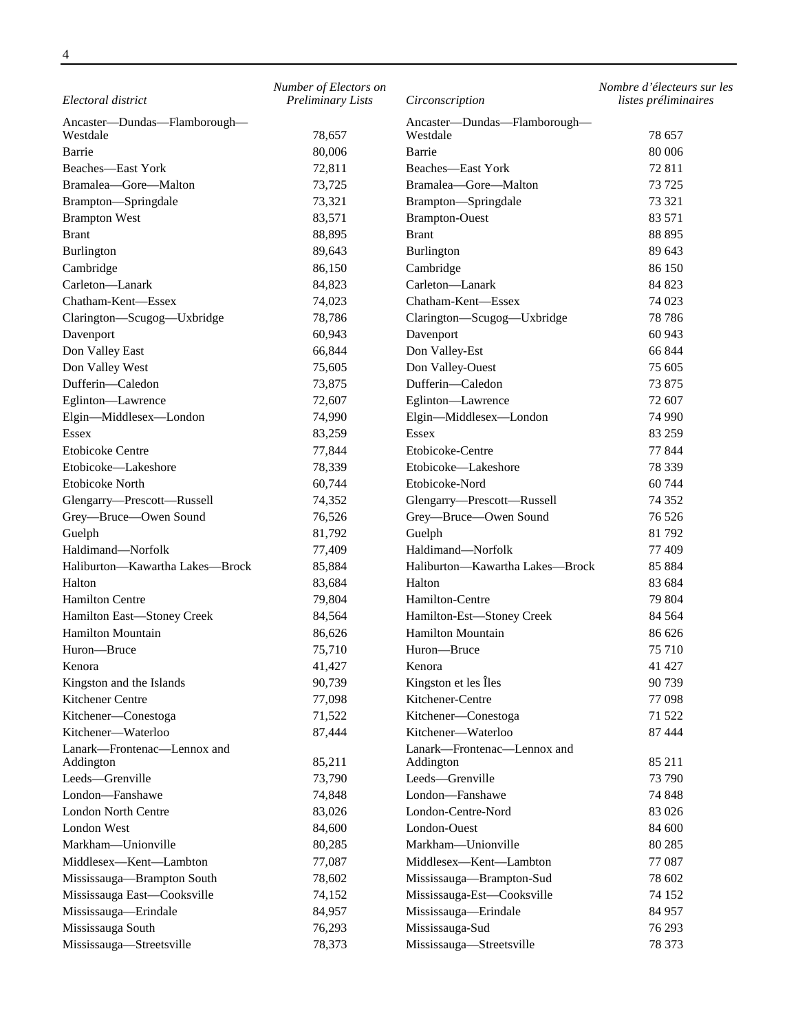| Electoral district                       | Number of Electors on<br><b>Preliminary Lists</b> | Circonscription                          | Nombre d'électeurs sur les<br>listes préliminaires |
|------------------------------------------|---------------------------------------------------|------------------------------------------|----------------------------------------------------|
|                                          |                                                   |                                          |                                                    |
| Ancaster-Dundas-Flamborough-<br>Westdale | 78,657                                            | Ancaster—Dundas—Flamborough—<br>Westdale | 78 657                                             |
| Barrie                                   | 80,006                                            | Barrie                                   | 80 006                                             |
| Beaches-East York                        | 72,811                                            | Beaches-East York                        | 72 811                                             |
| Bramalea-Gore-Malton                     | 73,725                                            | Bramalea-Gore-Malton                     | 73 725                                             |
| Brampton-Springdale                      | 73,321                                            | Brampton-Springdale                      | 73 321                                             |
|                                          | 83,571                                            | <b>Brampton-Ouest</b>                    | 83 571                                             |
| <b>Brampton West</b><br><b>Brant</b>     | 88,895                                            | <b>Brant</b>                             | 88 895                                             |
| Burlington                               | 89,643                                            | Burlington                               | 89 643                                             |
|                                          | 86,150                                            |                                          | 86 150                                             |
| Cambridge<br>Carleton-Lanark             |                                                   | Cambridge<br>Carleton-Lanark             | 84 823                                             |
| Chatham-Kent-Essex                       | 84,823                                            | Chatham-Kent-Essex                       |                                                    |
|                                          | 74,023                                            |                                          | 74 023                                             |
| Clarington-Scugog-Uxbridge               | 78,786                                            | Clarington-Scugog-Uxbridge               | 78786                                              |
| Davenport                                | 60,943                                            | Davenport                                | 60 943                                             |
| Don Valley East                          | 66,844                                            | Don Valley-Est                           | 66 844                                             |
| Don Valley West                          | 75,605                                            | Don Valley-Ouest                         | 75 605                                             |
| Dufferin-Caledon                         | 73,875                                            | Dufferin-Caledon                         | 73 875                                             |
| Eglinton-Lawrence                        | 72,607                                            | Eglinton-Lawrence                        | 72 607                                             |
| Elgin-Middlesex-London                   | 74,990                                            | Elgin-Middlesex-London                   | 74 990                                             |
| Essex                                    | 83,259                                            | Essex                                    | 83 259                                             |
| <b>Etobicoke Centre</b>                  | 77,844                                            | Etobicoke-Centre                         | 77 844                                             |
| Etobicoke-Lakeshore                      | 78,339                                            | Etobicoke-Lakeshore                      | 78 339                                             |
| Etobicoke North                          | 60,744                                            | Etobicoke-Nord                           | 60 744                                             |
| Glengarry-Prescott-Russell               | 74,352                                            | Glengarry-Prescott-Russell               | 74 352                                             |
| Grey-Bruce-Owen Sound                    | 76,526                                            | Grey-Bruce-Owen Sound                    | 76 526                                             |
| Guelph                                   | 81,792                                            | Guelph                                   | 81 792                                             |
| Haldimand-Norfolk                        | 77,409                                            | Haldimand-Norfolk                        | 77 409                                             |
| Haliburton-Kawartha Lakes-Brock          | 85,884                                            | Haliburton-Kawartha Lakes-Brock          | 85 884                                             |
| Halton                                   | 83,684                                            | Halton                                   | 83 684                                             |
| <b>Hamilton Centre</b>                   | 79,804                                            | Hamilton-Centre                          | 79 804                                             |
| Hamilton East-Stoney Creek               | 84,564                                            | Hamilton-Est-Stoney Creek                | 84 5 64                                            |
| <b>Hamilton Mountain</b>                 | 86,626                                            | Hamilton Mountain                        | 86 626                                             |
| Huron-Bruce                              | 75,710                                            | Huron-Bruce                              | 75 710                                             |
| Kenora                                   | 41,427                                            | Kenora                                   | 41 427                                             |
| Kingston and the Islands                 | 90,739                                            | Kingston et les Îles                     | 90 739                                             |
| Kitchener Centre                         | 77,098                                            | Kitchener-Centre                         | 77 098                                             |
| Kitchener-Conestoga                      | 71,522                                            | Kitchener-Conestoga                      | 71 522                                             |
| Kitchener-Waterloo                       | 87,444                                            | Kitchener-Waterloo                       | 87 444                                             |
| Lanark-Frontenac-Lennox and              |                                                   | Lanark-Frontenac-Lennox and              |                                                    |
| Addington                                | 85,211                                            | Addington                                | 85 211                                             |
| Leeds-Grenville                          | 73,790                                            | Leeds-Grenville                          | 73 790                                             |
| London-Fanshawe                          | 74,848                                            | London-Fanshawe                          | 74 848                                             |
| London North Centre                      | 83,026                                            | London-Centre-Nord                       | 83 0 26                                            |
| London West                              | 84,600                                            | London-Ouest                             | 84 600                                             |
| Markham-Unionville                       | 80,285                                            | Markham-Unionville                       | 80 285                                             |
| Middlesex-Kent-Lambton                   | 77,087                                            | Middlesex-Kent-Lambton                   | 77 087                                             |
| Mississauga-Brampton South               | 78,602                                            | Mississauga-Brampton-Sud                 | 78 602                                             |
| Mississauga East-Cooksville              | 74,152                                            | Mississauga-Est-Cooksville               | 74 152                                             |
| Mississauga-Erindale                     | 84,957                                            | Mississauga-Erindale                     | 84 957                                             |
| Mississauga South                        | 76,293                                            | Mississauga-Sud                          | 76 293                                             |
| Mississauga-Streetsville                 | 78,373                                            | Mississauga-Streetsville                 | 78 373                                             |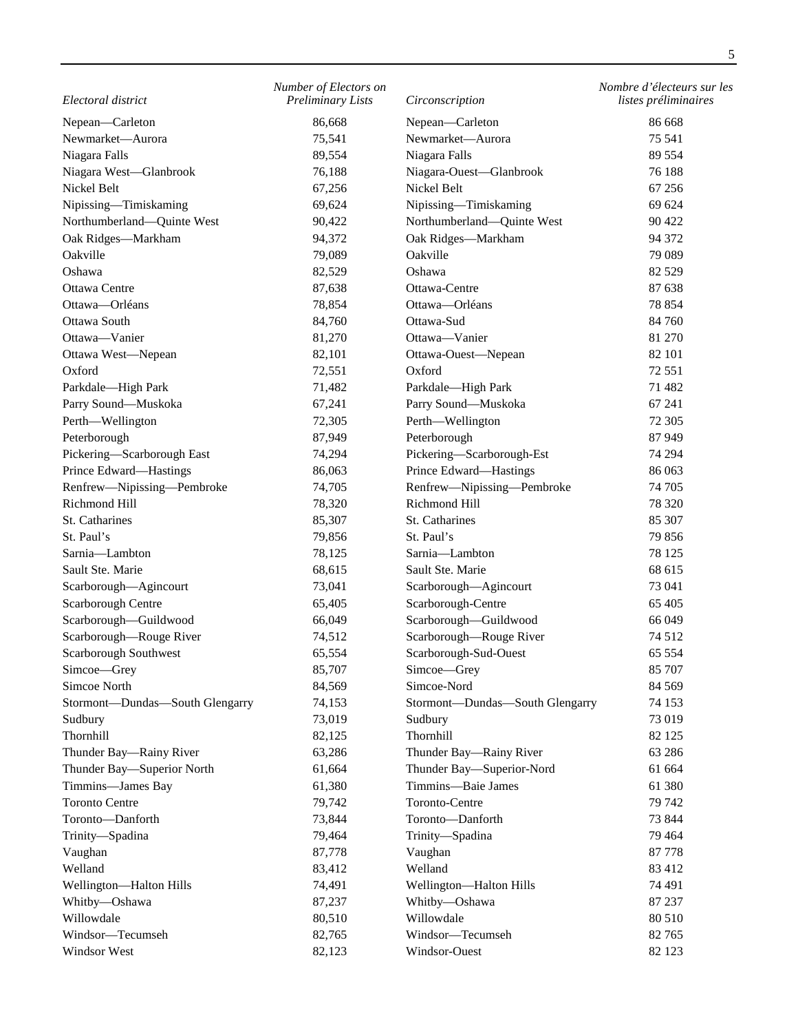| Electoral district              | Number of Electors on<br><b>Preliminary Lists</b> | Circonscription                 | Nombre d'électeurs sur les<br>listes préliminaires |
|---------------------------------|---------------------------------------------------|---------------------------------|----------------------------------------------------|
| Nepean-Carleton                 | 86,668                                            | Nepean-Carleton                 | 86 668                                             |
| Newmarket-Aurora                | 75,541                                            | Newmarket-Aurora                | 75 541                                             |
| Niagara Falls                   | 89,554                                            | Niagara Falls                   | 89 5 54                                            |
| Niagara West-Glanbrook          | 76,188                                            | Niagara-Ouest-Glanbrook         | 76 188                                             |
| Nickel Belt                     | 67,256                                            | Nickel Belt                     | 67 25 6                                            |
| Nipissing-Timiskaming           | 69,624                                            | Nipissing-Timiskaming           | 69 624                                             |
| Northumberland-Quinte West      | 90,422                                            | Northumberland-Quinte West      | 90 4 22                                            |
| Oak Ridges-Markham              | 94,372                                            | Oak Ridges-Markham              | 94 372                                             |
| Oakville                        | 79,089                                            | Oakville                        | 79 0 89                                            |
| Oshawa                          | 82,529                                            | Oshawa                          | 82 5 29                                            |
| Ottawa Centre                   | 87,638                                            | Ottawa-Centre                   | 87 638                                             |
| Ottawa-Orléans                  | 78,854                                            | Ottawa-Orléans                  | 78 854                                             |
| Ottawa South                    | 84,760                                            | Ottawa-Sud                      | 84 760                                             |
| Ottawa-Vanier                   | 81,270                                            | Ottawa-Vanier                   | 81 270                                             |
| Ottawa West-Nepean              | 82,101                                            | Ottawa-Ouest-Nepean             | 82 101                                             |
|                                 |                                                   |                                 |                                                    |
| Oxford                          | 72,551                                            | Oxford                          | 72 551                                             |
| Parkdale-High Park              | 71,482<br>67,241                                  | Parkdale-High Park              | 71 482                                             |
| Parry Sound-Muskoka             |                                                   | Parry Sound-Muskoka             | 67 241                                             |
| Perth—Wellington                | 72,305                                            | Perth-Wellington                | 72 305                                             |
| Peterborough                    | 87,949                                            | Peterborough                    | 87 949                                             |
| Pickering-Scarborough East      | 74,294                                            | Pickering-Scarborough-Est       | 74 294                                             |
| Prince Edward-Hastings          | 86,063                                            | Prince Edward-Hastings          | 86 063                                             |
| Renfrew—Nipissing—Pembroke      | 74,705                                            | Renfrew-Nipissing-Pembroke      | 74 705                                             |
| Richmond Hill                   | 78,320                                            | Richmond Hill                   | 78 320                                             |
| St. Catharines                  | 85,307                                            | St. Catharines                  | 85 307                                             |
| St. Paul's                      | 79,856                                            | St. Paul's                      | 79 856                                             |
| Sarnia-Lambton                  | 78,125                                            | Sarnia-Lambton                  | 78 125                                             |
| Sault Ste. Marie                | 68,615                                            | Sault Ste. Marie                | 68 615                                             |
| Scarborough-Agincourt           | 73,041                                            | Scarborough-Agincourt           | 73 041                                             |
| Scarborough Centre              | 65,405                                            | Scarborough-Centre              | 65 405                                             |
| Scarborough-Guildwood           | 66,049                                            | Scarborough-Guildwood           | 66 049                                             |
| Scarborough-Rouge River         | 74,512                                            | Scarborough-Rouge River         | 74 512                                             |
| Scarborough Southwest           | 65,554                                            | Scarborough-Sud-Ouest           | 65 5 5 4                                           |
| Simcoe-Grey                     | 85,707                                            | Simcoe-Grey                     | 85 707                                             |
| Simcoe North                    | 84,569                                            | Simcoe-Nord                     | 84 5 69                                            |
| Stormont-Dundas-South Glengarry | 74,153                                            | Stormont-Dundas-South Glengarry | 74 153                                             |
| Sudbury                         | 73,019                                            | Sudbury                         | 73 019                                             |
| Thornhill                       | 82,125                                            | Thornhill                       | 82 125                                             |
| Thunder Bay-Rainy River         | 63,286                                            | Thunder Bay-Rainy River         | 63 28 6                                            |
| Thunder Bay-Superior North      | 61,664                                            | Thunder Bay-Superior-Nord       | 61 664                                             |
| Timmins-James Bay               | 61,380                                            | Timmins-Baie James              | 61 380                                             |
| <b>Toronto Centre</b>           | 79,742                                            | Toronto-Centre                  | 79 742                                             |
| Toronto-Danforth                | 73,844                                            | Toronto-Danforth                | 73 844                                             |
| Trinity-Spadina                 | 79,464                                            | Trinity-Spadina                 | 79 4 64                                            |
| Vaughan                         | 87,778                                            | Vaughan                         | 87 778                                             |
| Welland                         | 83,412                                            | Welland                         | 83 412                                             |
| Wellington-Halton Hills         | 74,491                                            | Wellington-Halton Hills         | 74 491                                             |
| Whitby-Oshawa                   | 87,237                                            | Whitby-Oshawa                   | 87 237                                             |
| Willowdale                      | 80,510                                            | Willowdale                      | 80 510                                             |
| Windsor-Tecumseh                | 82,765                                            | Windsor-Tecumseh                | 82 765                                             |
| Windsor West                    | 82,123                                            | Windsor-Ouest                   | 82 123                                             |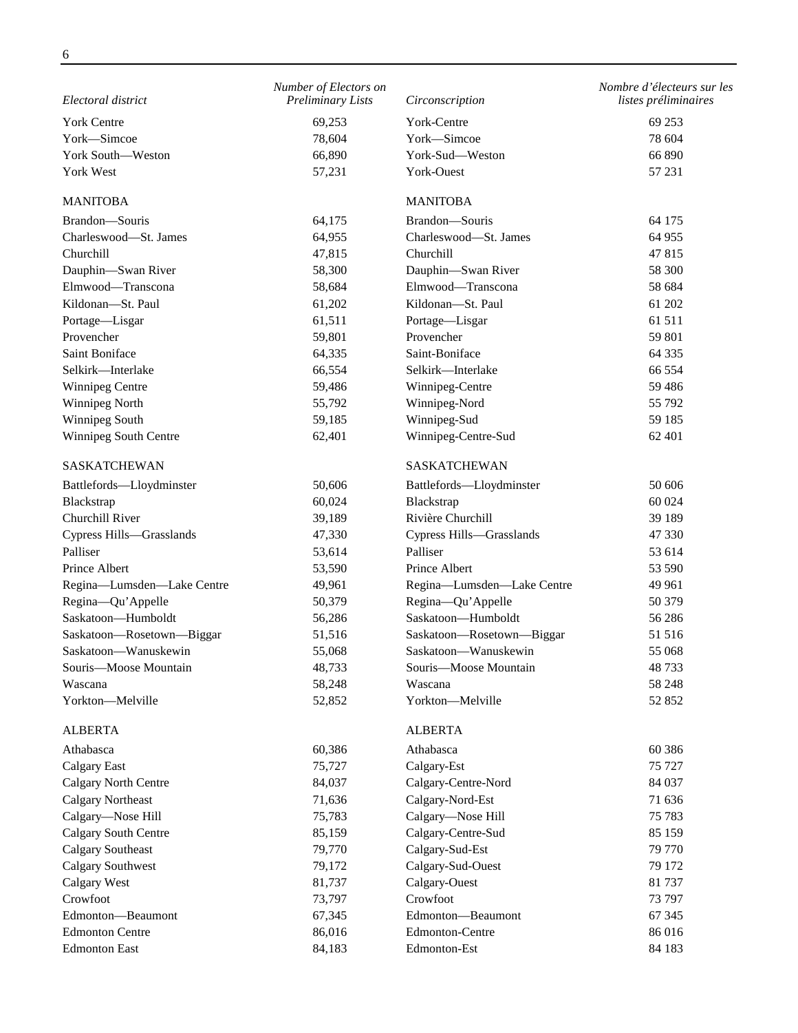| Electoral district          | Number of Electors on<br><b>Preliminary Lists</b> | Circonscription            | Nombre d'électeurs sur les<br>listes préliminaires |
|-----------------------------|---------------------------------------------------|----------------------------|----------------------------------------------------|
| <b>York Centre</b>          | 69,253                                            | York-Centre                | 69 253                                             |
| York-Simcoe                 | 78,604                                            | York-Simcoe                | 78 604                                             |
| York South-Weston           | 66,890                                            | York-Sud-Weston            | 66 890                                             |
| York West                   | 57,231                                            | York-Ouest                 | 57 231                                             |
| <b>MANITOBA</b>             |                                                   | <b>MANITOBA</b>            |                                                    |
| Brandon-Souris              | 64,175                                            | Brandon-Souris             | 64 175                                             |
| Charleswood-St. James       | 64,955                                            | Charleswood-St. James      | 64 955                                             |
| Churchill                   | 47,815                                            | Churchill                  | 47815                                              |
| Dauphin-Swan River          | 58,300                                            | Dauphin-Swan River         | 58 300                                             |
| Elmwood-Transcona           | 58,684                                            | Elmwood-Transcona          | 58 684                                             |
| Kildonan-St. Paul           | 61,202                                            | Kildonan-St. Paul          | 61 202                                             |
| Portage-Lisgar              | 61,511                                            | Portage-Lisgar             | 61 511                                             |
| Provencher                  | 59,801                                            | Provencher                 | 59 801                                             |
| Saint Boniface              | 64,335                                            | Saint-Boniface             | 64 3 35                                            |
| Selkirk-Interlake           | 66,554                                            | Selkirk-Interlake          | 66 554                                             |
| Winnipeg Centre             | 59,486                                            | Winnipeg-Centre            | 59 4 8 6                                           |
| Winnipeg North              | 55,792                                            | Winnipeg-Nord              | 55 792                                             |
| Winnipeg South              | 59,185                                            | Winnipeg-Sud               | 59 185                                             |
| Winnipeg South Centre       | 62,401                                            | Winnipeg-Centre-Sud        | 62 401                                             |
| <b>SASKATCHEWAN</b>         |                                                   | <b>SASKATCHEWAN</b>        |                                                    |
| Battlefords-Lloydminster    | 50,606                                            | Battlefords-Lloydminster   | 50 60 6                                            |
| Blackstrap                  | 60,024                                            | Blackstrap                 | 60 024                                             |
| Churchill River             | 39,189                                            | Rivière Churchill          | 39 189                                             |
| Cypress Hills-Grasslands    | 47,330                                            | Cypress Hills-Grasslands   | 47 330                                             |
| Palliser                    | 53,614                                            | Palliser                   | 53 614                                             |
| Prince Albert               | 53,590                                            | Prince Albert              | 53 590                                             |
| Regina-Lumsden-Lake Centre  | 49,961                                            | Regina-Lumsden-Lake Centre | 49 961                                             |
| Regina-Qu'Appelle           | 50,379                                            | Regina-Qu'Appelle          | 50 379                                             |
| Saskatoon-Humboldt          | 56,286                                            | Saskatoon-Humboldt         | 56 28 6                                            |
| Saskatoon-Rosetown-Biggar   | 51,516                                            | Saskatoon-Rosetown-Biggar  | 51 516                                             |
| Saskatoon-Wanuskewin        | 55,068                                            | Saskatoon-Wanuskewin       | 55 068                                             |
| Souris-Moose Mountain       | 48,733                                            | Souris-Moose Mountain      | 48 733                                             |
| Wascana                     | 58,248                                            | Wascana                    | 58 248                                             |
| Yorkton-Melville            | 52,852                                            | Yorkton-Melville           | 52 852                                             |
| <b>ALBERTA</b>              |                                                   | <b>ALBERTA</b>             |                                                    |
| Athabasca                   | 60,386                                            | Athabasca                  | 60 38 6                                            |
| <b>Calgary East</b>         | 75,727                                            | Calgary-Est                | 75 727                                             |
| <b>Calgary North Centre</b> | 84,037                                            | Calgary-Centre-Nord        | 84 037                                             |
| <b>Calgary Northeast</b>    | 71,636                                            | Calgary-Nord-Est           | 71 636                                             |
| Calgary-Nose Hill           | 75,783                                            | Calgary-Nose Hill          | 75 783                                             |
| Calgary South Centre        | 85,159                                            | Calgary-Centre-Sud         | 85 159                                             |
| <b>Calgary Southeast</b>    | 79,770                                            | Calgary-Sud-Est            | 79 770                                             |
| <b>Calgary Southwest</b>    | 79,172                                            | Calgary-Sud-Ouest          | 79 172                                             |
| <b>Calgary West</b>         | 81,737                                            | Calgary-Ouest              | 81 737                                             |
| Crowfoot                    | 73,797                                            | Crowfoot                   | 73 797                                             |
| Edmonton-Beaumont           | 67,345                                            | Edmonton-Beaumont          | 67 345                                             |
| <b>Edmonton Centre</b>      | 86,016                                            | <b>Edmonton-Centre</b>     | 86 016                                             |
| <b>Edmonton East</b>        | 84,183                                            | Edmonton-Est               | 84 183                                             |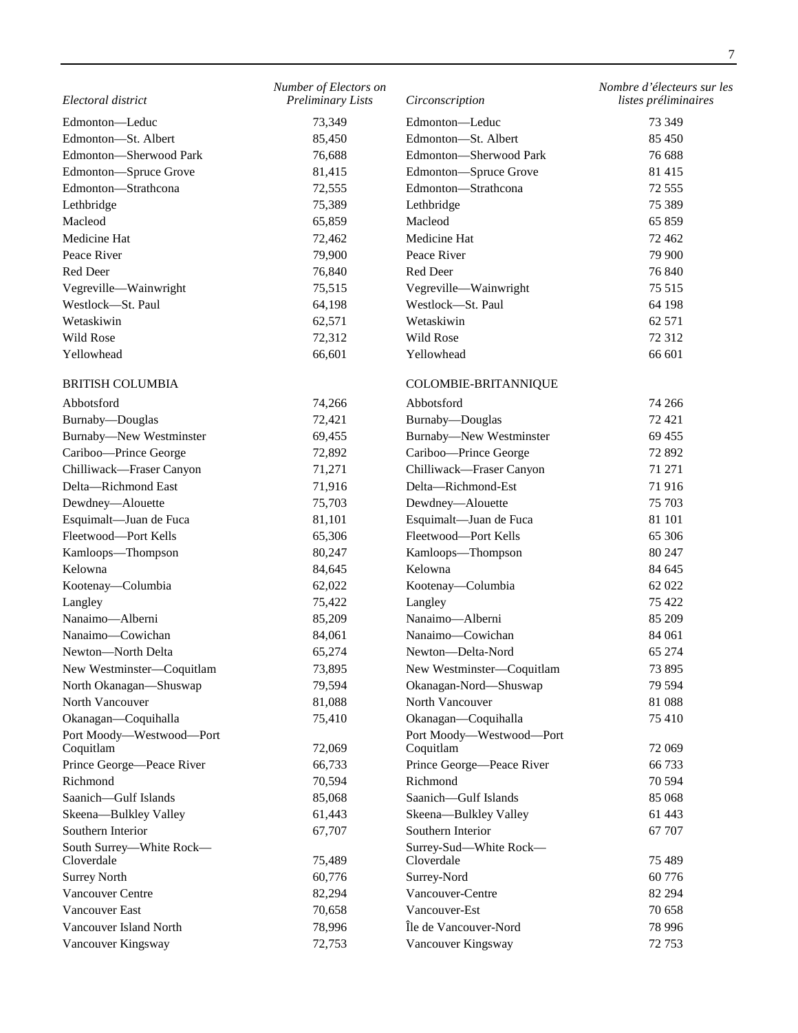| Electoral district                     | Number of Electors on<br><b>Preliminary Lists</b> | Circonscription                      | Nombre d'électeurs sur les<br>listes préliminaires |
|----------------------------------------|---------------------------------------------------|--------------------------------------|----------------------------------------------------|
| Edmonton-Leduc                         | 73,349                                            | Edmonton-Leduc                       | 73 349                                             |
| Edmonton-St. Albert                    | 85,450                                            | Edmonton-St. Albert                  | 85 450                                             |
| Edmonton-Sherwood Park                 | 76,688                                            | Edmonton-Sherwood Park               | 76 688                                             |
| Edmonton-Spruce Grove                  | 81,415                                            | Edmonton-Spruce Grove                | 81 415                                             |
| Edmonton-Strathcona                    | 72,555                                            | Edmonton-Strathcona                  | 72 5 5 5                                           |
| Lethbridge                             | 75,389                                            | Lethbridge                           | 75 389                                             |
| Macleod                                | 65,859                                            | Macleod                              | 65 859                                             |
| Medicine Hat                           | 72,462                                            | Medicine Hat                         | 72 4 62                                            |
| Peace River                            | 79,900                                            | Peace River                          | 79 900                                             |
| Red Deer                               | 76,840                                            | Red Deer                             | 76 840                                             |
| Vegreville-Wainwright                  | 75,515                                            | Vegreville-Wainwright                | 75 5 15                                            |
| Westlock-St. Paul                      | 64,198                                            | Westlock-St. Paul                    | 64 198                                             |
| Wetaskiwin                             | 62,571                                            | Wetaskiwin                           | 62 571                                             |
| Wild Rose                              | 72,312                                            | Wild Rose                            | 72 3 12                                            |
| Yellowhead                             | 66,601                                            | Yellowhead                           | 66 601                                             |
|                                        |                                                   |                                      |                                                    |
| <b>BRITISH COLUMBIA</b>                |                                                   | COLOMBIE-BRITANNIQUE                 |                                                    |
| Abbotsford                             | 74,266                                            | Abbotsford                           | 74 266                                             |
| Burnaby-Douglas                        | 72,421                                            | Burnaby-Douglas                      | 72 421                                             |
| <b>Burnaby-New Westminster</b>         | 69,455                                            | <b>Burnaby-New Westminster</b>       | 69 455                                             |
| Cariboo-Prince George                  | 72,892                                            | Cariboo-Prince George                | 72 892                                             |
| Chilliwack-Fraser Canyon               | 71,271                                            | Chilliwack-Fraser Canyon             | 71 271                                             |
| Delta-Richmond East                    | 71,916                                            | Delta-Richmond-Est                   | 71916                                              |
| Dewdney-Alouette                       | 75,703                                            | Dewdney-Alouette                     | 75 703                                             |
| Esquimalt-Juan de Fuca                 | 81,101                                            | Esquimalt-Juan de Fuca               | 81 101                                             |
| Fleetwood-Port Kells                   | 65,306                                            | Fleetwood-Port Kells                 | 65 30 6                                            |
| Kamloops-Thompson                      | 80,247                                            | Kamloops-Thompson                    | 80 247                                             |
| Kelowna                                | 84,645                                            | Kelowna                              | 84 645                                             |
| Kootenay-Columbia                      | 62,022                                            | Kootenay-Columbia                    | 62 022                                             |
| Langley                                | 75,422                                            | Langley                              | 75 422                                             |
| Nanaimo-Alberni                        | 85,209                                            | Nanaimo-Alberni                      | 85 209                                             |
| Nanaimo-Cowichan                       | 84,061                                            | Nanaimo-Cowichan                     | 84 061                                             |
| Newton-North Delta                     | 65,274                                            | Newton-Delta-Nord                    | 65 274                                             |
| New Westminster-Coquitlam              | 73,895                                            | New Westminster-Coquitlam            | 73 895                                             |
| North Okanagan-Shuswap                 | 79,594                                            | Okanagan-Nord-Shuswap                | 79 594                                             |
| North Vancouver                        | 81,088                                            | North Vancouver                      | 81 088                                             |
| Okanagan-Coquihalla                    | 75,410                                            | Okanagan-Coquihalla                  | 75 410                                             |
| Port Moody-Westwood-Port               |                                                   | Port Moody-Westwood-Port             |                                                    |
| Coquitlam                              | 72,069                                            | Coquitlam                            | 72 069                                             |
| Prince George-Peace River              | 66,733                                            | Prince George-Peace River            | 66 733                                             |
| Richmond                               | 70,594                                            | Richmond                             | 70 5 94                                            |
| Saanich-Gulf Islands                   | 85,068                                            | Saanich-Gulf Islands                 | 85 068                                             |
| Skeena-Bulkley Valley                  | 61,443                                            | Skeena-Bulkley Valley                | 61 443                                             |
| Southern Interior                      | 67,707                                            | Southern Interior                    | 67 707                                             |
| South Surrey-White Rock-<br>Cloverdale | 75,489                                            | Surrey-Sud-White Rock-<br>Cloverdale | 75 489                                             |
| <b>Surrey North</b>                    | 60,776                                            | Surrey-Nord                          | 60776                                              |
| Vancouver Centre                       | 82,294                                            | Vancouver-Centre                     | 82 294                                             |
| Vancouver East                         | 70,658                                            | Vancouver-Est                        | 70 658                                             |
| Vancouver Island North                 | 78,996                                            | Île de Vancouver-Nord                | 78 996                                             |
|                                        |                                                   |                                      |                                                    |
| Vancouver Kingsway                     | 72,753                                            | Vancouver Kingsway                   | 72 753                                             |